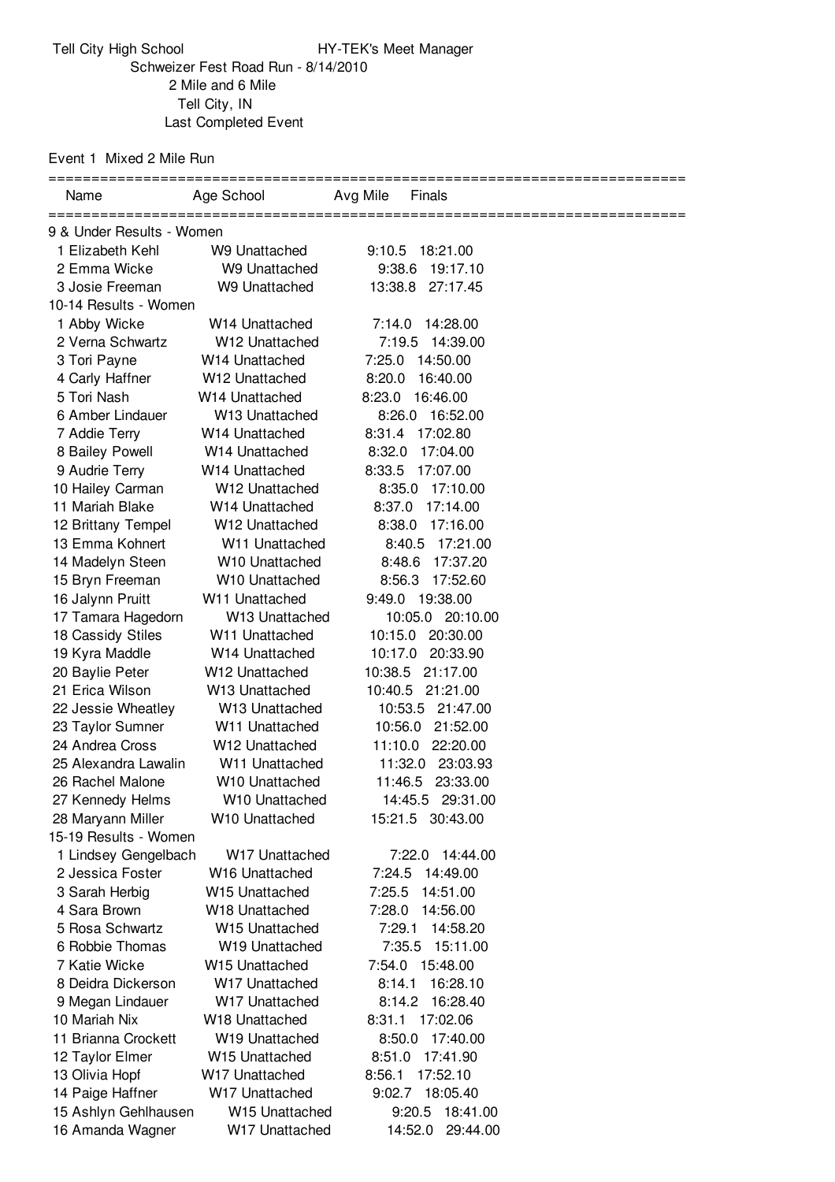Event 1 Mixed 2 Mile Run

| Name                             | Age School                       | Avg Mile<br>Finals                       |  |
|----------------------------------|----------------------------------|------------------------------------------|--|
|                                  |                                  |                                          |  |
| 9 & Under Results - Women        |                                  |                                          |  |
| 1 Elizabeth Kehl                 | W9 Unattached                    | 9:10.5 18:21.00                          |  |
| 2 Emma Wicke                     | W9 Unattached                    | 19:17.10<br>9:38.6                       |  |
| 3 Josie Freeman                  | W9 Unattached                    | 13:38.8<br>27:17.45                      |  |
| 10-14 Results - Women            |                                  |                                          |  |
| 1 Abby Wicke<br>2 Verna Schwartz | W14 Unattached<br>W12 Unattached | 7:14.0<br>14:28.00<br>7:19.5<br>14:39.00 |  |
|                                  | W <sub>14</sub> Unattached       |                                          |  |
| 3 Tori Payne                     | W <sub>12</sub> Unattached       | 7:25.0<br>14:50.00<br>8:20.0<br>16:40.00 |  |
| 4 Carly Haffner<br>5 Tori Nash   | W <sub>14</sub> Unattached       | 8:23.0<br>16:46.00                       |  |
| 6 Amber Lindauer                 | W13 Unattached                   | 8:26.0<br>16:52.00                       |  |
| 7 Addie Terry                    | W14 Unattached                   | 17:02.80<br>8:31.4                       |  |
| 8 Bailey Powell                  | W <sub>14</sub> Unattached       | 8:32.0<br>17:04.00                       |  |
| 9 Audrie Terry                   | W <sub>14</sub> Unattached       | 17:07.00<br>8:33.5                       |  |
| 10 Hailey Carman                 | W <sub>12</sub> Unattached       | 17:10.00<br>8:35.0                       |  |
| 11 Mariah Blake                  | W <sub>14</sub> Unattached       | 17:14.00<br>8:37.0                       |  |
| 12 Brittany Tempel               | W <sub>12</sub> Unattached       | 17:16.00<br>8:38.0                       |  |
| 13 Emma Kohnert                  | W <sub>11</sub> Unattached       | 17:21.00<br>8:40.5                       |  |
| 14 Madelyn Steen                 | W10 Unattached                   | 8:48.6<br>17:37.20                       |  |
| 15 Bryn Freeman                  | W10 Unattached                   | 8:56.3<br>17:52.60                       |  |
| 16 Jalynn Pruitt                 | W11 Unattached                   | 9:49.0 19:38.00                          |  |
| 17 Tamara Hagedorn               | W13 Unattached                   | 10:05.0 20:10.00                         |  |
| 18 Cassidy Stiles                | W11 Unattached                   | 10:15.0 20:30.00                         |  |
| 19 Kyra Maddle                   | W <sub>14</sub> Unattached       | 10:17.0<br>20:33.90                      |  |
| 20 Baylie Peter                  | W <sub>12</sub> Unattached       | 10:38.5<br>21:17.00                      |  |
| 21 Erica Wilson                  | W <sub>13</sub> Unattached       | 10:40.5<br>21:21.00                      |  |
| 22 Jessie Wheatley               | W <sub>13</sub> Unattached       | 10:53.5 21:47.00                         |  |
| 23 Taylor Sumner                 | W <sub>11</sub> Unattached       | 10:56.0 21:52.00                         |  |
| 24 Andrea Cross                  | W12 Unattached                   | 22:20.00<br>11:10.0                      |  |
| 25 Alexandra Lawalin             | W <sub>11</sub> Unattached       | 11:32.0<br>23:03.93                      |  |
| 26 Rachel Malone                 | W <sub>10</sub> Unattached       | 11:46.5 23:33.00                         |  |
| 27 Kennedy Helms                 | W <sub>10</sub> Unattached       | 14:45.5 29:31.00                         |  |
| 28 Maryann Miller                | W <sub>10</sub> Unattached       | 15:21.5 30:43.00                         |  |
| 15-19 Results - Women            |                                  |                                          |  |
| 1 Lindsey Gengelbach             | W17 Unattached                   | 7:22.0<br>14:44.00                       |  |
| 2 Jessica Foster                 | W16 Unattached                   | 7:24.5<br>14:49.00                       |  |
| 3 Sarah Herbig                   | W <sub>15</sub> Unattached       | 7:25.5<br>14:51.00                       |  |
| 4 Sara Brown                     | W18 Unattached                   | 7:28.0<br>14:56.00                       |  |
| 5 Rosa Schwartz                  | W15 Unattached                   | 7:29.1<br>14:58.20                       |  |
| 6 Robbie Thomas                  | W19 Unattached                   | 7:35.5<br>15:11.00                       |  |
| 7 Katie Wicke                    | <b>W15 Unattached</b>            | 7:54.0 15:48.00                          |  |
| 8 Deidra Dickerson               | W17 Unattached                   | 8:14.1<br>16:28.10                       |  |
| 9 Megan Lindauer                 | W17 Unattached                   | 16:28.40<br>8:14.2                       |  |
| 10 Mariah Nix                    | W <sub>18</sub> Unattached       | 8:31.1<br>17:02.06                       |  |
| 11 Brianna Crockett              | W19 Unattached                   | 8:50.0<br>17:40.00                       |  |
| 12 Taylor Elmer                  | W15 Unattached                   | 17:41.90<br>8:51.0                       |  |
| 13 Olivia Hopf                   | W17 Unattached                   | 8:56.1<br>17:52.10                       |  |
| 14 Paige Haffner                 | W17 Unattached                   | 18:05.40<br>9:02.7                       |  |
| 15 Ashlyn Gehlhausen             | W15 Unattached                   | 9:20.5<br>18:41.00                       |  |
| 16 Amanda Wagner                 | W17 Unattached                   | 29:44.00<br>14:52.0                      |  |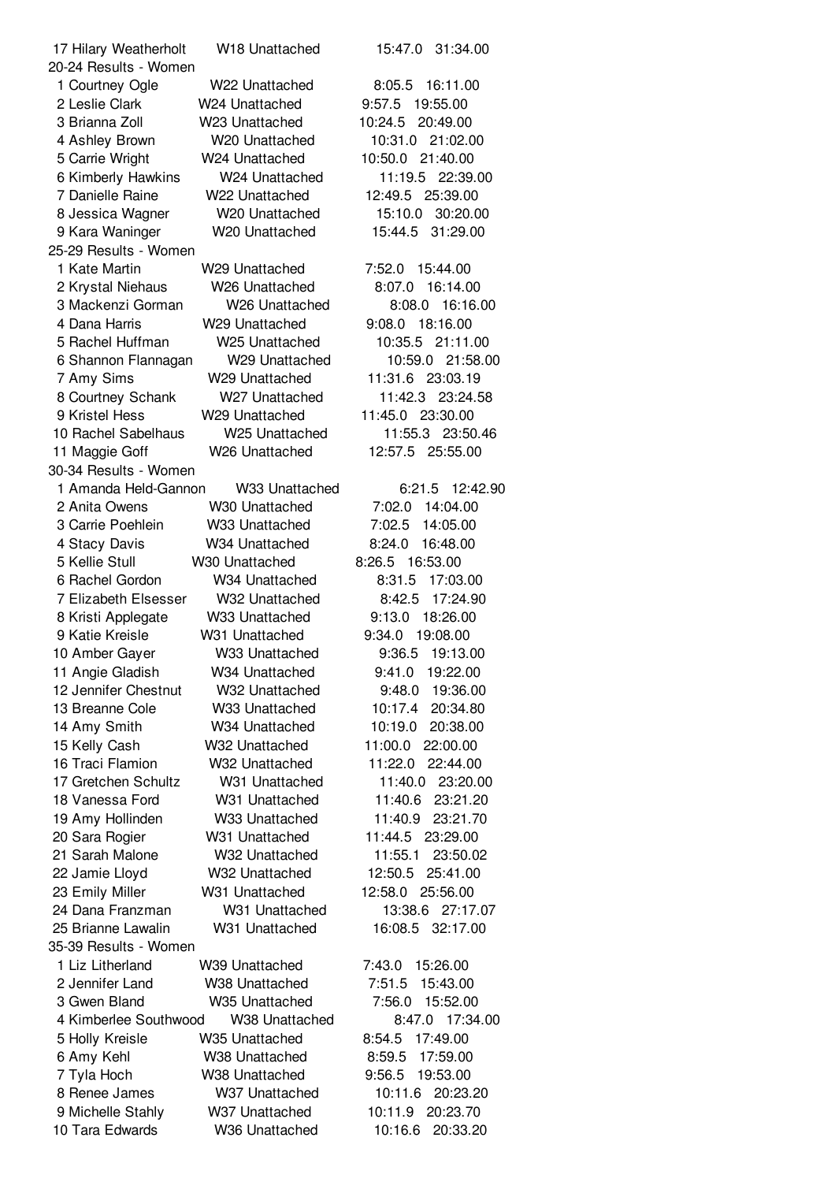| 17 Hilary Weatherholt | W18 Unattached             | 31:34.00<br>15:47.0 |
|-----------------------|----------------------------|---------------------|
| 20-24 Results - Women |                            |                     |
| 1 Courtney Ogle       | W22 Unattached             | 8:05.5 16:11.00     |
| 2 Leslie Clark        | W24 Unattached             | 9:57.5<br>19:55.00  |
| 3 Brianna Zoll        | W23 Unattached             | 10:24.5<br>20:49.00 |
| 4 Ashley Brown        | W20 Unattached             | 10:31.0<br>21:02.00 |
| 5 Carrie Wright       | W24 Unattached             | 10:50.0<br>21:40.00 |
| 6 Kimberly Hawkins    | W24 Unattached             | 11:19.5<br>22:39.00 |
| 7 Danielle Raine      | W22 Unattached             | 12:49.5<br>25:39.00 |
| 8 Jessica Wagner      | W <sub>20</sub> Unattached | 30:20.00<br>15:10.0 |
| 9 Kara Waninger       | W20 Unattached             | 15:44.5<br>31:29.00 |
| 25-29 Results - Women |                            |                     |
| 1 Kate Martin         | W29 Unattached             | 7:52.0<br>15:44.00  |
| 2 Krystal Niehaus     | W <sub>26</sub> Unattached | 8:07.0<br>16:14.00  |
| 3 Mackenzi Gorman     | W <sub>26</sub> Unattached | 8:08.0<br>16:16.00  |
| 4 Dana Harris         | W29 Unattached             | 18:16.00<br>9:08.0  |
| 5 Rachel Huffman      | W25 Unattached             | 10:35.5<br>21:11.00 |
| 6 Shannon Flannagan   | W29 Unattached             | 10:59.0<br>21:58.00 |
| 7 Amy Sims            | W29 Unattached             | 11:31.6<br>23:03.19 |
|                       |                            |                     |
| 8 Courtney Schank     | W <sub>27</sub> Unattached | 11:42.3<br>23:24.58 |
| 9 Kristel Hess        | W29 Unattached             | 11:45.0 23:30.00    |
| 10 Rachel Sabelhaus   | W <sub>25</sub> Unattached | 11:55.3 23:50.46    |
| 11 Maggie Goff        | W <sub>26</sub> Unattached | 12:57.5 25:55.00    |
| 30-34 Results - Women |                            |                     |
| 1 Amanda Held-Gannon  | W33 Unattached             | 12:42.90<br>6:21.5  |
| 2 Anita Owens         | W30 Unattached             | 7:02.0 14:04.00     |
| 3 Carrie Poehlein     | W33 Unattached             | 7:02.5<br>14:05.00  |
| 4 Stacy Davis         | W34 Unattached             | 8:24.0<br>16:48.00  |
| 5 Kellie Stull        | W30 Unattached             | 16:53.00<br>8:26.5  |
| 6 Rachel Gordon       | W34 Unattached             | 17:03.00<br>8:31.5  |
| 7 Elizabeth Elsesser  | W32 Unattached             | 8:42.5<br>17:24.90  |
| 8 Kristi Applegate    | W33 Unattached             | 9:13.0<br>18:26.00  |
| 9 Katie Kreisle       | W31 Unattached             | 9:34.0<br>19:08.00  |
| 10 Amber Gayer        | W33 Unattached             | 9:36.5<br>19:13.00  |
| 11 Angie Gladish      | W34 Unattached             | 9:41.0<br>19:22.00  |
| 12 Jennifer Chestnut  | W32 Unattached             | 19:36.00<br>9:48.0  |
| 13 Breanne Cole       | W33 Unattached             | 20:34.80<br>10:17.4 |
| 14 Amy Smith          | W34 Unattached             | 10:19.0<br>20:38.00 |
| 15 Kelly Cash         | W32 Unattached             | 11:00.0<br>22:00.00 |
| 16 Traci Flamion      | W32 Unattached             | 11:22.0<br>22:44.00 |
| 17 Gretchen Schultz   | W31 Unattached             | 11:40.0<br>23:20.00 |
| 18 Vanessa Ford       | W31 Unattached             | 11:40.6<br>23:21.20 |
|                       |                            |                     |
| 19 Amy Hollinden      | W33 Unattached             | 11:40.9<br>23:21.70 |
| 20 Sara Rogier        | W31 Unattached             | 11:44.5<br>23:29.00 |
| 21 Sarah Malone       | W32 Unattached             | 11:55.1<br>23:50.02 |
| 22 Jamie Lloyd        | W32 Unattached             | 12:50.5<br>25:41.00 |
| 23 Emily Miller       | W31 Unattached             | 12:58.0<br>25:56.00 |
| 24 Dana Franzman      | W31 Unattached             | 13:38.6<br>27:17.07 |
| 25 Brianne Lawalin    | W31 Unattached             | 32:17.00<br>16:08.5 |
| 35-39 Results - Women |                            |                     |
| 1 Liz Litherland      | W39 Unattached             | 7:43.0<br>15:26.00  |
| 2 Jennifer Land       | W <sub>38</sub> Unattached | 7:51.5<br>15:43.00  |
| 3 Gwen Bland          | W <sub>35</sub> Unattached | 15:52.00<br>7:56.0  |
| 4 Kimberlee Southwood | W38 Unattached             | 8:47.0<br>17:34.00  |
| 5 Holly Kreisle       | W35 Unattached             | 8:54.5<br>17:49.00  |
| 6 Amy Kehl            | W38 Unattached             | 8:59.5<br>17:59.00  |
| 7 Tyla Hoch           | W38 Unattached             | 9:56.5<br>19:53.00  |
| 8 Renee James         | W37 Unattached             | 10:11.6<br>20:23.20 |
| 9 Michelle Stahly     | W37 Unattached             | 10:11.9<br>20:23.70 |
| 10 Tara Edwards       | W36 Unattached             | 10:16.6<br>20:33.20 |
|                       |                            |                     |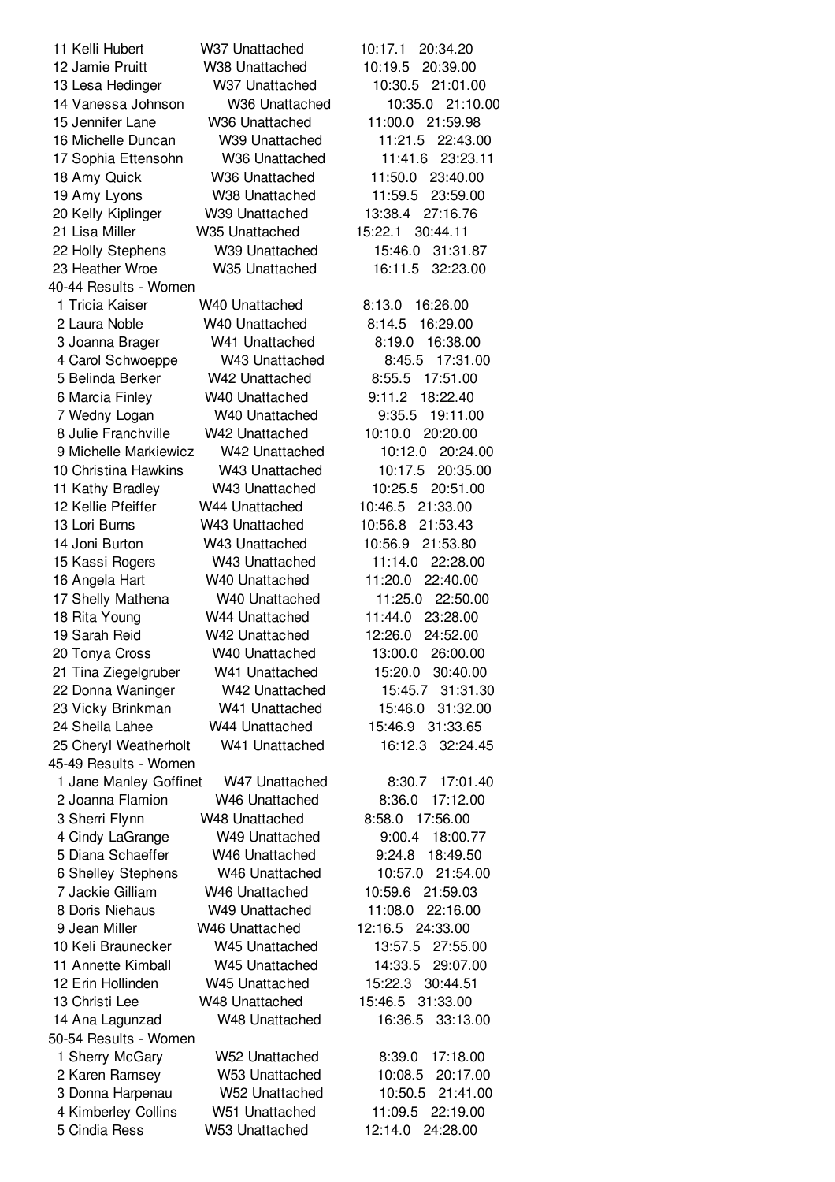Kelli Hubert W37 Unattached 10:17.1 20:34.20 Jamie Pruitt W38 Unattached 10:19.5 20:39.00 Lesa Hedinger W37 Unattached 10:30.5 21:01.00 Vanessa Johnson W36 Unattached 10:35.0 21:10.00 Jennifer Lane W36 Unattached 11:00.0 21:59.98 Michelle Duncan W39 Unattached 11:21.5 22:43.00 Sophia Ettensohn W36 Unattached 11:41.6 23:23.11 Amy Quick W36 Unattached 11:50.0 23:40.00 Amy Lyons W38 Unattached 11:59.5 23:59.00 Kelly Kiplinger W39 Unattached 13:38.4 27:16.76 Lisa Miller W35 Unattached 15:22.1 30:44.11 Holly Stephens W39 Unattached 15:46.0 31:31.87 Heather Wroe W35 Unattached 16:11.5 32:23.00 40-44 Results - Women Tricia Kaiser W40 Unattached 8:13.0 16:26.00 Laura Noble W40 Unattached 8:14.5 16:29.00 Joanna Brager W41 Unattached 8:19.0 16:38.00 Carol Schwoeppe W43 Unattached 8:45.5 17:31.00 Belinda Berker W42 Unattached 8:55.5 17:51.00 Marcia Finley W40 Unattached 9:11.2 18:22.40 Wedny Logan W40 Unattached 9:35.5 19:11.00 Julie Franchville W42 Unattached 10:10.0 20:20.00 Michelle Markiewicz W42 Unattached 10:12.0 20:24.00 Christina Hawkins W43 Unattached 10:17.5 20:35.00 Kathy Bradley W43 Unattached 10:25.5 20:51.00 Kellie Pfeiffer W44 Unattached 10:46.5 21:33.00 Lori Burns W43 Unattached 10:56.8 21:53.43 Joni Burton W43 Unattached 10:56.9 21:53.80 Kassi Rogers W43 Unattached 11:14.0 22:28.00 Angela Hart W40 Unattached 11:20.0 22:40.00 Shelly Mathena W40 Unattached 11:25.0 22:50.00 Rita Young W44 Unattached 11:44.0 23:28.00 Sarah Reid W42 Unattached 12:26.0 24:52.00 Tonya Cross W40 Unattached 13:00.0 26:00.00 Tina Ziegelgruber W41 Unattached 15:20.0 30:40.00 Donna Waninger W42 Unattached 15:45.7 31:31.30 Vicky Brinkman W41 Unattached 15:46.0 31:32.00 Sheila Lahee W44 Unattached 15:46.9 31:33.65 Cheryl Weatherholt W41 Unattached 16:12.3 32:24.45 45-49 Results - Women Jane Manley Goffinet W47 Unattached 8:30.7 17:01.40 Joanna Flamion W46 Unattached 8:36.0 17:12.00 Sherri Flynn W48 Unattached 8:58.0 17:56.00 Cindy LaGrange W49 Unattached 9:00.4 18:00.77 Diana Schaeffer W46 Unattached 9:24.8 18:49.50 Shelley Stephens W46 Unattached 10:57.0 21:54.00 Jackie Gilliam W46 Unattached 10:59.6 21:59.03 Doris Niehaus W49 Unattached 11:08.0 22:16.00 Jean Miller W46 Unattached 12:16.5 24:33.00 Keli Braunecker W45 Unattached 13:57.5 27:55.00 Annette Kimball W45 Unattached 14:33.5 29:07.00 Erin Hollinden W45 Unattached 15:22.3 30:44.51 Christi Lee W48 Unattached 15:46.5 31:33.00 Ana Lagunzad W48 Unattached 16:36.5 33:13.00 50-54 Results - Women Sherry McGary W52 Unattached 8:39.0 17:18.00 Karen Ramsey W53 Unattached 10:08.5 20:17.00 Donna Harpenau W52 Unattached 10:50.5 21:41.00 Kimberley Collins W51 Unattached 11:09.5 22:19.00 Cindia Ress W53 Unattached 12:14.0 24:28.00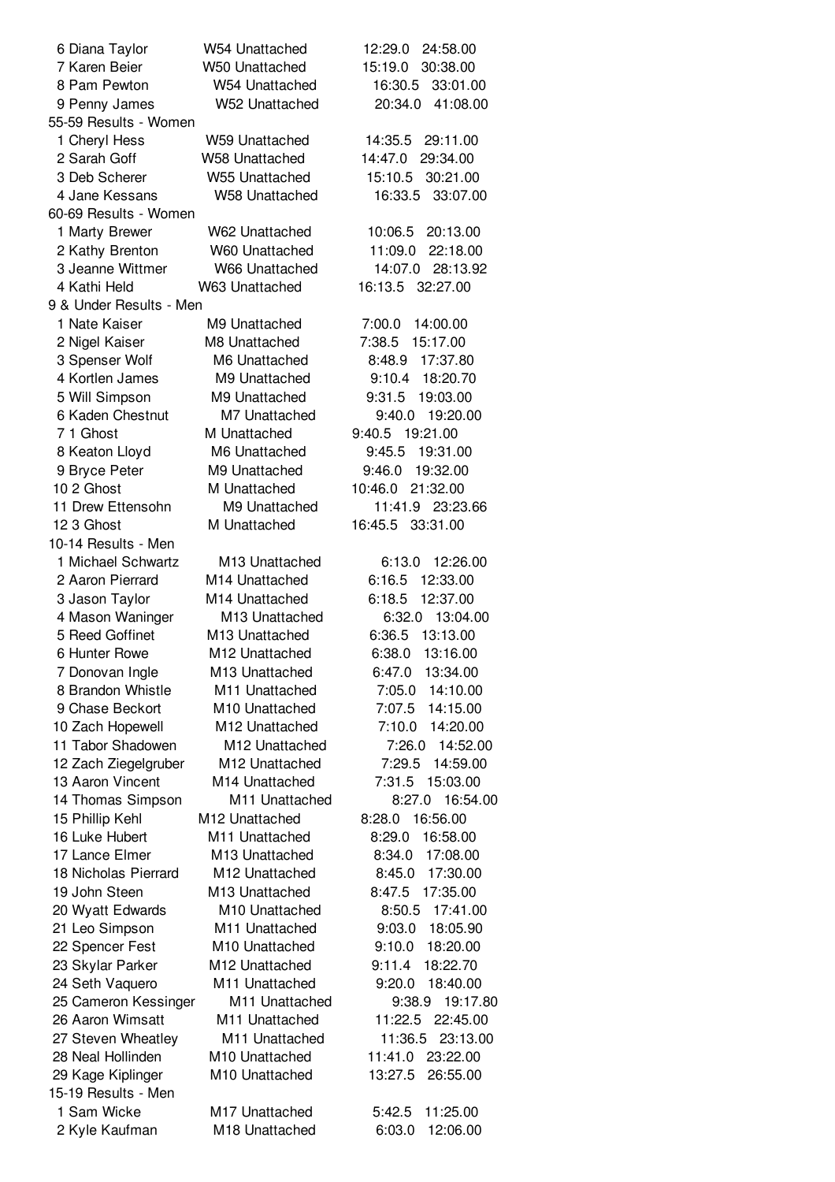| 6 Diana Taylor          | W54 Unattached             | 12:29.0<br>24:58.00 |
|-------------------------|----------------------------|---------------------|
| 7 Karen Beier           | W50 Unattached             | 15:19.0<br>30:38.00 |
| 8 Pam Pewton            | W54 Unattached             | 16:30.5<br>33:01.00 |
| 9 Penny James           | W52 Unattached             | 20:34.0<br>41:08.00 |
| 55-59 Results - Women   |                            |                     |
|                         |                            | 29:11.00            |
| 1 Cheryl Hess           | W59 Unattached             | 14:35.5             |
| 2 Sarah Goff            | <b>W58 Unattached</b>      | 14:47.0<br>29:34.00 |
| 3 Deb Scherer           | <b>W55 Unattached</b>      | 15:10.5<br>30:21.00 |
| 4 Jane Kessans          | W58 Unattached             | 16:33.5<br>33:07.00 |
| 60-69 Results - Women   |                            |                     |
| 1 Marty Brewer          | W62 Unattached             | 10:06.5<br>20:13.00 |
| 2 Kathy Brenton         | W60 Unattached             | 11:09.0<br>22:18.00 |
| 3 Jeanne Wittmer        | W66 Unattached             | 14:07.0 28:13.92    |
| 4 Kathi Held            | W63 Unattached             | 16:13.5<br>32:27.00 |
| 9 & Under Results - Men |                            |                     |
| 1 Nate Kaiser           | M9 Unattached              | 7:00.0<br>14:00.00  |
| 2 Nigel Kaiser          | M8 Unattached              | 7:38.5<br>15:17.00  |
| 3 Spenser Wolf          | M6 Unattached              | 17:37.80<br>8:48.9  |
| 4 Kortlen James         | M9 Unattached              | 9:10.4<br>18:20.70  |
| 5 Will Simpson          | M9 Unattached              | 9:31.5<br>19:03.00  |
| 6 Kaden Chestnut        | M7 Unattached              | 9:40.0<br>19:20.00  |
| 71 Ghost                | M Unattached               | 9:40.5<br>19:21.00  |
| 8 Keaton Lloyd          | M6 Unattached              | 9:45.5<br>19:31.00  |
| 9 Bryce Peter           | M9 Unattached              | 9:46.0<br>19:32.00  |
| 10 2 Ghost              | M Unattached               | 10:46.0 21:32.00    |
| 11 Drew Ettensohn       | M9 Unattached              | 11:41.9 23:23.66    |
| 12 3 Ghost              | M Unattached               | 16:45.5 33:31.00    |
| 10-14 Results - Men     |                            |                     |
| 1 Michael Schwartz      | M13 Unattached             | 12:26.00<br>6:13.0  |
| 2 Aaron Pierrard        | M14 Unattached             | 6:16.5<br>12:33.00  |
| 3 Jason Taylor          | M14 Unattached             | 12:37.00<br>6:18.5  |
| 4 Mason Waninger        | M13 Unattached             | 6:32.0<br>13:04.00  |
| 5 Reed Goffinet         | M <sub>13</sub> Unattached | 13:13.00<br>6:36.5  |
| 6 Hunter Rowe           | M <sub>12</sub> Unattached | 6:38.0<br>13:16.00  |
| 7 Donovan Ingle         | M13 Unattached             | 6:47.0<br>13:34.00  |
| 8 Brandon Whistle       | M11 Unattached             | 7:05.0<br>14:10.00  |
| 9 Chase Beckort         | M10 Unattached             | 7:07.5<br>14:15.00  |
|                         |                            |                     |
| 10 Zach Hopewell        | M12 Unattached             | 7:10.0<br>14:20.00  |
| 11 Tabor Shadowen       | M12 Unattached             | 14:52.00<br>7:26.0  |
| 12 Zach Ziegelgruber    | M12 Unattached             | 7:29.5<br>14:59.00  |
| 13 Aaron Vincent        | M14 Unattached             | 7:31.5<br>15:03.00  |
| 14 Thomas Simpson       | M11 Unattached             | 8:27.0<br>16:54.00  |
| 15 Phillip Kehl         | M12 Unattached             | 8:28.0<br>16:56.00  |
| 16 Luke Hubert          | M11 Unattached             | 8:29.0<br>16:58.00  |
| 17 Lance Elmer          | M13 Unattached             | 17:08.00<br>8:34.0  |
| 18 Nicholas Pierrard    | M12 Unattached             | 8:45.0<br>17:30.00  |
| 19 John Steen           | M13 Unattached             | 8:47.5<br>17:35.00  |
| 20 Wyatt Edwards        | M10 Unattached             | 8:50.5<br>17:41.00  |
| 21 Leo Simpson          | M11 Unattached             | 9:03.0<br>18:05.90  |
| 22 Spencer Fest         | M10 Unattached             | 18:20.00<br>9:10.0  |
| 23 Skylar Parker        | M12 Unattached             | 9:11.4<br>18:22.70  |
| 24 Seth Vaquero         | M11 Unattached             | 9:20.0<br>18:40.00  |
| 25 Cameron Kessinger    | M11 Unattached             | 9:38.9<br>19:17.80  |
| 26 Aaron Wimsatt        | M11 Unattached             | 11:22.5<br>22:45.00 |
| 27 Steven Wheatley      | M11 Unattached             | 11:36.5<br>23:13.00 |
| 28 Neal Hollinden       | M10 Unattached             | 11:41.0<br>23:22.00 |
| 29 Kage Kiplinger       | M <sub>10</sub> Unattached | 26:55.00<br>13:27.5 |
| 15-19 Results - Men     |                            |                     |
| 1 Sam Wicke             | M17 Unattached             | 5:42.5<br>11:25.00  |
| 2 Kyle Kaufman          | M18 Unattached             | 6:03.0<br>12:06.00  |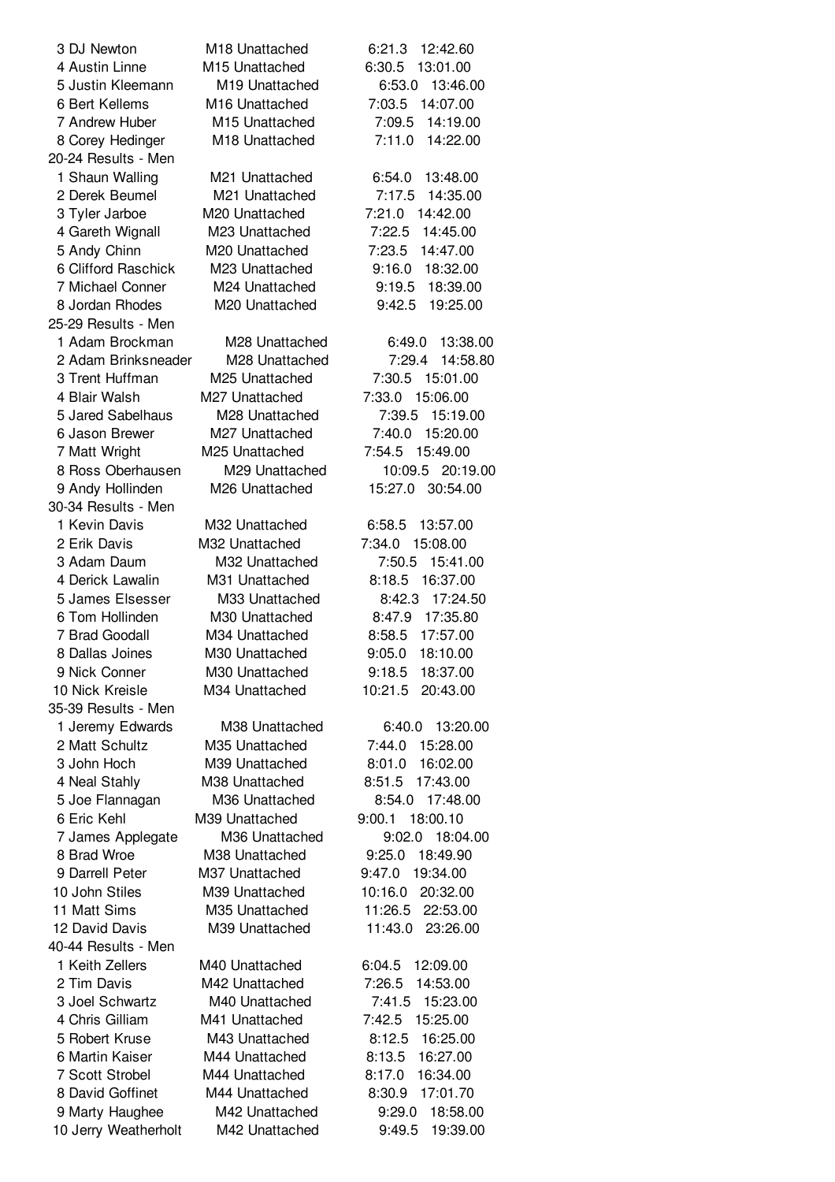| 3 DJ Newton          | M18 Unattached             | 6:21.3<br>12:42.60 |
|----------------------|----------------------------|--------------------|
| 4 Austin Linne       | M <sub>15</sub> Unattached | 6:30.5 13:01.00    |
| 5 Justin Kleemann    | M19 Unattached             | 6:53.0 13:46.00    |
| 6 Bert Kellems       | M <sub>16</sub> Unattached | 7:03.5 14:07.00    |
| 7 Andrew Huber       | M15 Unattached             | 7:09.5<br>14:19.00 |
| 8 Corey Hedinger     | M18 Unattached             | 7:11.0<br>14:22.00 |
| 20-24 Results - Men  |                            |                    |
| 1 Shaun Walling      | M21 Unattached             | 6:54.0 13:48.00    |
| 2 Derek Beumel       | M21 Unattached             | 7:17.5 14:35.00    |
| 3 Tyler Jarboe       | M20 Unattached             | 7:21.0 14:42.00    |
|                      | M23 Unattached             | 7:22.5<br>14:45.00 |
| 4 Gareth Wignall     |                            |                    |
| 5 Andy Chinn         | M20 Unattached             | 7:23.5 14:47.00    |
| 6 Clifford Raschick  | M23 Unattached             | 9:16.0 18:32.00    |
| 7 Michael Conner     | M24 Unattached             | 9:19.5 18:39.00    |
| 8 Jordan Rhodes      | M20 Unattached             | 9:42.5 19:25.00    |
| 25-29 Results - Men  |                            |                    |
| 1 Adam Brockman      | M28 Unattached             | 6:49.0 13:38.00    |
| 2 Adam Brinksneader  | M28 Unattached             | 7:29.4 14:58.80    |
| 3 Trent Huffman      | M25 Unattached             | 7:30.5 15:01.00    |
| 4 Blair Walsh        | M27 Unattached             | 7:33.0 15:06.00    |
| 5 Jared Sabelhaus    | M28 Unattached             | 7:39.5<br>15:19.00 |
| 6 Jason Brewer       | M27 Unattached             | 7:40.0 15:20.00    |
| 7 Matt Wright        | M <sub>25</sub> Unattached | 7:54.5 15:49.00    |
| 8 Ross Oberhausen    | M29 Unattached             | 10:09.5 20:19.00   |
| 9 Andy Hollinden     | M26 Unattached             | 15:27.0 30:54.00   |
| 30-34 Results - Men  |                            |                    |
| 1 Kevin Davis        | M32 Unattached             | 6:58.5<br>13:57.00 |
| 2 Erik Davis         | M32 Unattached             | 7:34.0 15:08.00    |
| 3 Adam Daum          | M32 Unattached             | 7:50.5 15:41.00    |
| 4 Derick Lawalin     | M31 Unattached             | 8:18.5 16:37.00    |
| 5 James Elsesser     | M33 Unattached             | 8:42.3 17:24.50    |
| 6 Tom Hollinden      | M30 Unattached             | 8:47.9 17:35.80    |
| 7 Brad Goodall       | M34 Unattached             | 8:58.5 17:57.00    |
| 8 Dallas Joines      | M30 Unattached             | 9:05.0<br>18:10.00 |
| 9 Nick Conner        | M30 Unattached             | 9:18.5 18:37.00    |
|                      |                            |                    |
| 10 Nick Kreisle      | M34 Unattached             | 10:21.5 20:43.00   |
| 35-39 Results - Men  |                            |                    |
| 1 Jeremy Edwards     | M38 Unattached             | 6:40.0 13:20.00    |
| 2 Matt Schultz       | M35 Unattached             | 7:44.0<br>15:28.00 |
| 3 John Hoch          | M39 Unattached             | 16:02.00<br>8:01.0 |
| 4 Neal Stahly        | M38 Unattached             | 17:43.00<br>8:51.5 |
| 5 Joe Flannagan      | M36 Unattached             | 8:54.0 17:48.00    |
| 6 Eric Kehl          | M39 Unattached             | 9:00.1 18:00.10    |
| 7 James Applegate    | M36 Unattached             | 9:02.0 18:04.00    |
| 8 Brad Wroe          | M38 Unattached             | 9:25.0 18:49.90    |
| 9 Darrell Peter      | M37 Unattached             | 9:47.0 19:34.00    |
| 10 John Stiles       | M39 Unattached             | 10:16.0 20:32.00   |
| 11 Matt Sims         | M35 Unattached             | 11:26.5 22:53.00   |
| 12 David Davis       | M39 Unattached             | 11:43.0 23:26.00   |
| 40-44 Results - Men  |                            |                    |
| 1 Keith Zellers      | M40 Unattached             | 6:04.5<br>12:09.00 |
| 2 Tim Davis          | M42 Unattached             | 7:26.5<br>14:53.00 |
| 3 Joel Schwartz      | M40 Unattached             | 7:41.5 15:23.00    |
| 4 Chris Gilliam      | M41 Unattached             | 7:42.5 15:25.00    |
| 5 Robert Kruse       | M43 Unattached             | 8:12.5 16:25.00    |
| 6 Martin Kaiser      | M44 Unattached             | 8:13.5 16:27.00    |
| 7 Scott Strobel      | M44 Unattached             | 8:17.0 16:34.00    |
| 8 David Goffinet     | M44 Unattached             | 8:30.9 17:01.70    |
| 9 Marty Haughee      | M42 Unattached             | 18:58.00<br>9:29.0 |
| 10 Jerry Weatherholt | M42 Unattached             | 9:49.5 19:39.00    |
|                      |                            |                    |